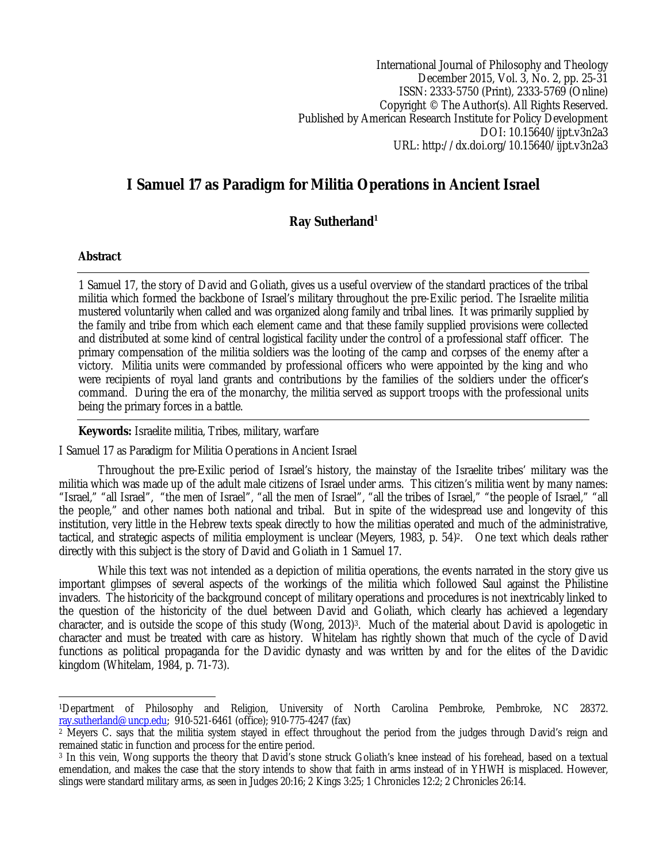International Journal of Philosophy and Theology December 2015, Vol. 3, No. 2, pp. 25-31 ISSN: 2333-5750 (Print), 2333-5769 (Online) Copyright © The Author(s). All Rights Reserved. Published by American Research Institute for Policy Development DOI: 10.15640/ijpt.v3n2a3 URL: http://dx.doi.org/10.15640/ijpt.v3n2a3

# **I Samuel 17 as Paradigm for Militia Operations in Ancient Israel**

# **Ray Sutherland<sup>1</sup>**

# **Abstract**

1 Samuel 17, the story of David and Goliath, gives us a useful overview of the standard practices of the tribal militia which formed the backbone of Israel's military throughout the pre-Exilic period. The Israelite militia mustered voluntarily when called and was organized along family and tribal lines. It was primarily supplied by the family and tribe from which each element came and that these family supplied provisions were collected and distributed at some kind of central logistical facility under the control of a professional staff officer. The primary compensation of the militia soldiers was the looting of the camp and corpses of the enemy after a victory. Militia units were commanded by professional officers who were appointed by the king and who were recipients of royal land grants and contributions by the families of the soldiers under the officer's command. During the era of the monarchy, the militia served as support troops with the professional units being the primary forces in a battle.

# **Keywords:** Israelite militia, Tribes, military, warfare

I Samuel 17 as Paradigm for Militia Operations in Ancient Israel

Throughout the pre-Exilic period of Israel's history, the mainstay of the Israelite tribes' military was the militia which was made up of the adult male citizens of Israel under arms. This citizen's militia went by many names: "Israel," "all Israel", "the men of Israel", "all the men of Israel", "all the tribes of Israel," "the people of Israel," "all the people," and other names both national and tribal. But in spite of the widespread use and longevity of this institution, very little in the Hebrew texts speak directly to how the militias operated and much of the administrative, tactical, and strategic aspects of militia employment is unclear (Meyers, 1983, p. 54)2. One text which deals rather directly with this subject is the story of David and Goliath in 1 Samuel 17.

While this text was not intended as a depiction of militia operations, the events narrated in the story give us important glimpses of several aspects of the workings of the militia which followed Saul against the Philistine invaders. The historicity of the background concept of military operations and procedures is not inextricably linked to the question of the historicity of the duel between David and Goliath, which clearly has achieved a legendary character, and is outside the scope of this study (Wong, 2013)<sup>3</sup>. Much of the material about David is apologetic in character and must be treated with care as history. Whitelam has rightly shown that much of the cycle of David functions as political propaganda for the Davidic dynasty and was written by and for the elites of the Davidic kingdom (Whitelam, 1984, p. 71-73).

 $\overline{a}$ <sup>1</sup>Department of Philosophy and Religion, University of North Carolina Pembroke, Pembroke, NC 28372. ray.sutherland@uncp.edu; 910-521-6461 (office); 910-775-4247 (fax)

<sup>&</sup>lt;sup>2</sup> Meyers C. says that the militia system stayed in effect throughout the period from the judges through David's reign and remained static in function and process for the entire period.

<sup>3</sup> In this vein, Wong supports the theory that David's stone struck Goliath's knee instead of his forehead, based on a textual emendation, and makes the case that the story intends to show that faith in arms instead of in YHWH is misplaced. However, slings were standard military arms, as seen in Judges 20:16; 2 Kings 3:25; 1 Chronicles 12:2; 2 Chronicles 26:14.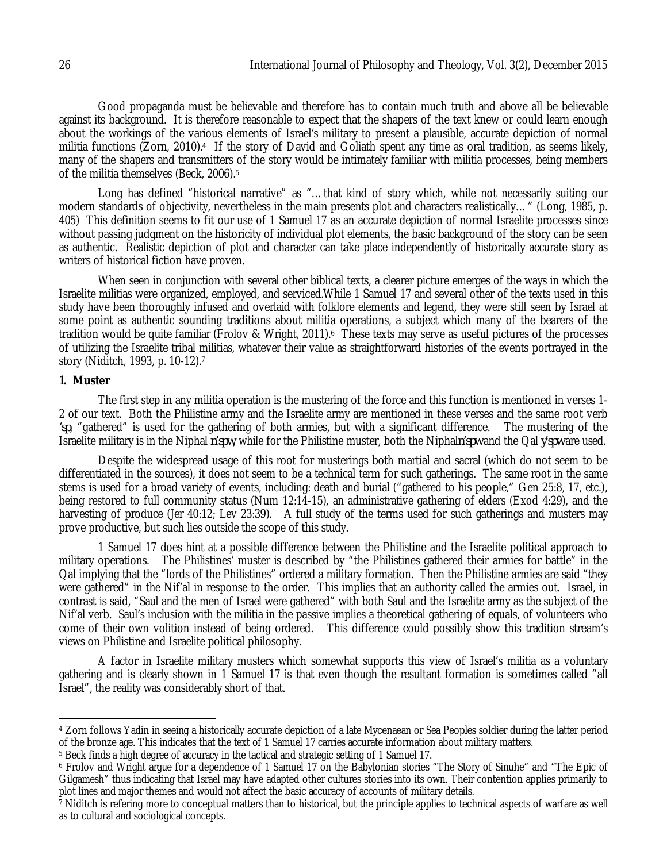Good propaganda must be believable and therefore has to contain much truth and above all be believable against its background. It is therefore reasonable to expect that the shapers of the text knew or could learn enough about the workings of the various elements of Israel's military to present a plausible, accurate depiction of normal militia functions (Zorn, 2010).4 If the story of David and Goliath spent any time as oral tradition, as seems likely, many of the shapers and transmitters of the story would be intimately familiar with militia processes, being members of the militia themselves (Beck, 2006).<sup>5</sup>

Long has defined "historical narrative" as "…that kind of story which, while not necessarily suiting our modern standards of objectivity, nevertheless in the main presents plot and characters realistically…" (Long, 1985, p. 405) This definition seems to fit our use of 1 Samuel 17 as an accurate depiction of normal Israelite processes since without passing judgment on the historicity of individual plot elements, the basic background of the story can be seen as authentic. Realistic depiction of plot and character can take place independently of historically accurate story as writers of historical fiction have proven.

When seen in conjunction with several other biblical texts, a clearer picture emerges of the ways in which the Israelite militias were organized, employed, and serviced.While 1 Samuel 17 and several other of the texts used in this study have been thoroughly infused and overlaid with folklore elements and legend, they were still seen by Israel at some point as authentic sounding traditions about militia operations, a subject which many of the bearers of the tradition would be quite familiar (Frolov & Wright, 2011).6 These texts may serve as useful pictures of the processes of utilizing the Israelite tribal militias, whatever their value as straightforward histories of the events portrayed in the story (Niditch, 1993, p. 10-12).<sup>7</sup>

### **1. Muster**

 $\overline{a}$ 

The first step in any militia operation is the mustering of the force and this function is mentioned in verses 1- 2 of our text. Both the Philistine army and the Israelite army are mentioned in these verses and the same root verb *'sp*, "gathered" is used for the gathering of both armies, but with a significant difference. The mustering of the Israelite military is in the Niphal *n'spw*, while for the Philistine muster, both the Niphal*n'spw* and the Qal *y'spw* are used.

Despite the widespread usage of this root for musterings both martial and sacral (which do not seem to be differentiated in the sources), it does not seem to be a technical term for such gatherings. The same root in the same stems is used for a broad variety of events, including: death and burial ("gathered to his people," Gen 25:8, 17, etc.), being restored to full community status (Num 12:14-15), an administrative gathering of elders (Exod 4:29), and the harvesting of produce (Jer 40:12; Lev 23:39). A full study of the terms used for such gatherings and musters may prove productive, but such lies outside the scope of this study.

1 Samuel 17 does hint at a possible difference between the Philistine and the Israelite political approach to military operations. The Philistines' muster is described by "the Philistines gathered their armies for battle" in the Qal implying that the "lords of the Philistines" ordered a military formation. Then the Philistine armies are said "they were gathered" in the Nif'al in response to the order. This implies that an authority called the armies out. Israel, in contrast is said, "Saul and the men of Israel were gathered" with both Saul and the Israelite army as the subject of the Nif'al verb. Saul's inclusion with the militia in the passive implies a theoretical gathering of equals, of volunteers who come of their own volition instead of being ordered. This difference could possibly show this tradition stream's views on Philistine and Israelite political philosophy.

A factor in Israelite military musters which somewhat supports this view of Israel's militia as a voluntary gathering and is clearly shown in 1 Samuel 17 is that even though the resultant formation is sometimes called "all Israel", the reality was considerably short of that.

<sup>4</sup> Zorn follows Yadin in seeing a historically accurate depiction of a late Mycenaean or Sea Peoples soldier during the latter period of the bronze age. This indicates that the text of 1 Samuel 17 carries accurate information about military matters.

<sup>5</sup> Beck finds a high degree of accuracy in the tactical and strategic setting of 1 Samuel 17.

<sup>6</sup> Frolov and Wright argue for a dependence of 1 Samuel 17 on the Babylonian stories "The Story of Sinuhe" and "The Epic of Gilgamesh" thus indicating that Israel may have adapted other cultures stories into its own. Their contention applies primarily to plot lines and major themes and would not affect the basic accuracy of accounts of military details.

<sup>7</sup> Niditch is refering more to conceptual matters than to historical, but the principle applies to technical aspects of warfare as well as to cultural and sociological concepts.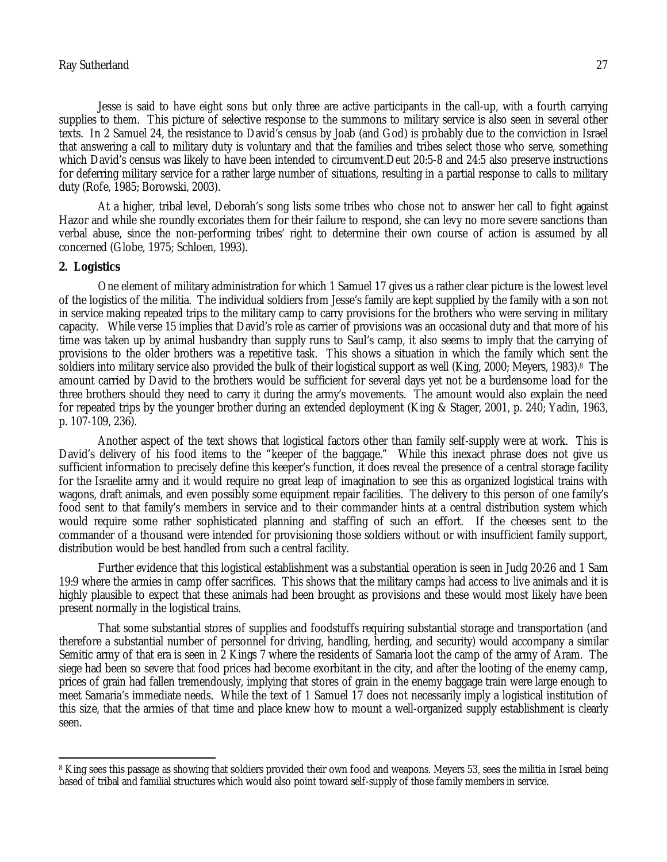Jesse is said to have eight sons but only three are active participants in the call-up, with a fourth carrying supplies to them. This picture of selective response to the summons to military service is also seen in several other texts. In 2 Samuel 24, the resistance to David's census by Joab (and God) is probably due to the conviction in Israel that answering a call to military duty is voluntary and that the families and tribes select those who serve, something which David's census was likely to have been intended to circumvent.Deut 20:5-8 and 24:5 also preserve instructions for deferring military service for a rather large number of situations, resulting in a partial response to calls to military duty (Rofe, 1985; Borowski, 2003).

At a higher, tribal level, Deborah's song lists some tribes who chose not to answer her call to fight against Hazor and while she roundly excoriates them for their failure to respond, she can levy no more severe sanctions than verbal abuse, since the non-performing tribes' right to determine their own course of action is assumed by all concerned (Globe, 1975; Schloen, 1993).

#### **2. Logistics**

One element of military administration for which 1 Samuel 17 gives us a rather clear picture is the lowest level of the logistics of the militia. The individual soldiers from Jesse's family are kept supplied by the family with a son not in service making repeated trips to the military camp to carry provisions for the brothers who were serving in military capacity. While verse 15 implies that David's role as carrier of provisions was an occasional duty and that more of his time was taken up by animal husbandry than supply runs to Saul's camp, it also seems to imply that the carrying of provisions to the older brothers was a repetitive task. This shows a situation in which the family which sent the soldiers into military service also provided the bulk of their logistical support as well (King, 2000; Meyers, 1983).8 The amount carried by David to the brothers would be sufficient for several days yet not be a burdensome load for the three brothers should they need to carry it during the army's movements. The amount would also explain the need for repeated trips by the younger brother during an extended deployment (King & Stager, 2001, p. 240; Yadin, 1963, p. 107-109, 236).

Another aspect of the text shows that logistical factors other than family self-supply were at work. This is David's delivery of his food items to the "keeper of the baggage." While this inexact phrase does not give us sufficient information to precisely define this keeper's function, it does reveal the presence of a central storage facility for the Israelite army and it would require no great leap of imagination to see this as organized logistical trains with wagons, draft animals, and even possibly some equipment repair facilities. The delivery to this person of one family's food sent to that family's members in service and to their commander hints at a central distribution system which would require some rather sophisticated planning and staffing of such an effort. If the cheeses sent to the commander of a thousand were intended for provisioning those soldiers without or with insufficient family support, distribution would be best handled from such a central facility.

Further evidence that this logistical establishment was a substantial operation is seen in Judg 20:26 and 1 Sam 19:9 where the armies in camp offer sacrifices. This shows that the military camps had access to live animals and it is highly plausible to expect that these animals had been brought as provisions and these would most likely have been present normally in the logistical trains.

That some substantial stores of supplies and foodstuffs requiring substantial storage and transportation (and therefore a substantial number of personnel for driving, handling, herding, and security) would accompany a similar Semitic army of that era is seen in 2 Kings 7 where the residents of Samaria loot the camp of the army of Aram. The siege had been so severe that food prices had become exorbitant in the city, and after the looting of the enemy camp, prices of grain had fallen tremendously, implying that stores of grain in the enemy baggage train were large enough to meet Samaria's immediate needs. While the text of 1 Samuel 17 does not necessarily imply a logistical institution of this size, that the armies of that time and place knew how to mount a well-organized supply establishment is clearly seen.

 $\overline{a}$ <sup>8</sup> King sees this passage as showing that soldiers provided their own food and weapons. Meyers 53, sees the militia in Israel being based of tribal and familial structures which would also point toward self-supply of those family members in service.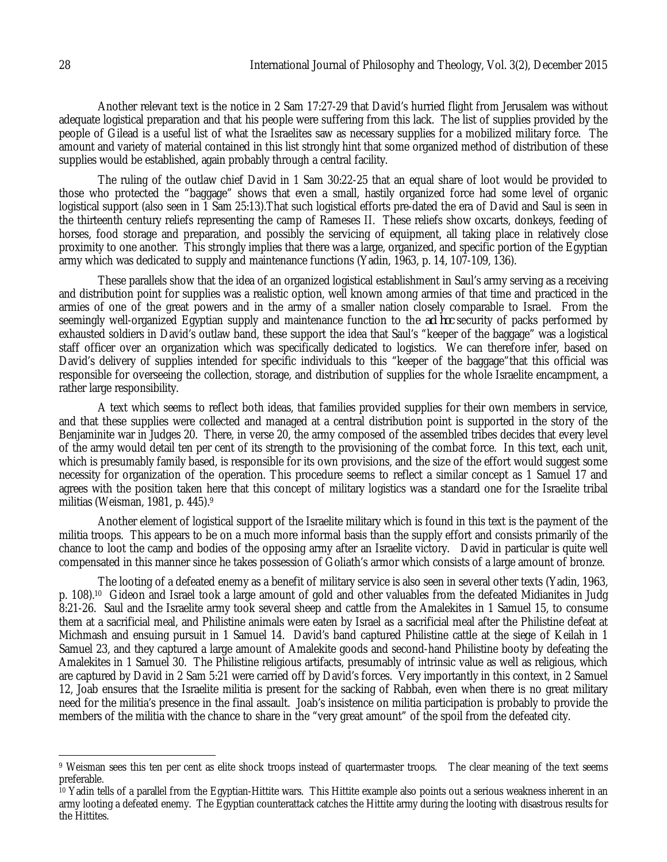Another relevant text is the notice in 2 Sam 17:27-29 that David's hurried flight from Jerusalem was without adequate logistical preparation and that his people were suffering from this lack. The list of supplies provided by the people of Gilead is a useful list of what the Israelites saw as necessary supplies for a mobilized military force. The amount and variety of material contained in this list strongly hint that some organized method of distribution of these supplies would be established, again probably through a central facility.

The ruling of the outlaw chief David in 1 Sam 30:22-25 that an equal share of loot would be provided to those who protected the "baggage" shows that even a small, hastily organized force had some level of organic logistical support (also seen in 1 Sam 25:13).That such logistical efforts pre-dated the era of David and Saul is seen in the thirteenth century reliefs representing the camp of Rameses II. These reliefs show oxcarts, donkeys, feeding of horses, food storage and preparation, and possibly the servicing of equipment, all taking place in relatively close proximity to one another. This strongly implies that there was a large, organized, and specific portion of the Egyptian army which was dedicated to supply and maintenance functions (Yadin, 1963, p. 14, 107-109, 136).

These parallels show that the idea of an organized logistical establishment in Saul's army serving as a receiving and distribution point for supplies was a realistic option, well known among armies of that time and practiced in the armies of one of the great powers and in the army of a smaller nation closely comparable to Israel. From the seemingly well-organized Egyptian supply and maintenance function to the *ad hoc* security of packs performed by exhausted soldiers in David's outlaw band, these support the idea that Saul's "keeper of the baggage" was a logistical staff officer over an organization which was specifically dedicated to logistics. We can therefore infer, based on David's delivery of supplies intended for specific individuals to this "keeper of the baggage"that this official was responsible for overseeing the collection, storage, and distribution of supplies for the whole Israelite encampment, a rather large responsibility.

A text which seems to reflect both ideas, that families provided supplies for their own members in service, and that these supplies were collected and managed at a central distribution point is supported in the story of the Benjaminite war in Judges 20. There, in verse 20, the army composed of the assembled tribes decides that every level of the army would detail ten per cent of its strength to the provisioning of the combat force. In this text, each unit, which is presumably family based, is responsible for its own provisions, and the size of the effort would suggest some necessity for organization of the operation. This procedure seems to reflect a similar concept as 1 Samuel 17 and agrees with the position taken here that this concept of military logistics was a standard one for the Israelite tribal militias (Weisman, 1981, p. 445).9

Another element of logistical support of the Israelite military which is found in this text is the payment of the militia troops. This appears to be on a much more informal basis than the supply effort and consists primarily of the chance to loot the camp and bodies of the opposing army after an Israelite victory. David in particular is quite well compensated in this manner since he takes possession of Goliath's armor which consists of a large amount of bronze.

The looting of a defeated enemy as a benefit of military service is also seen in several other texts (Yadin, 1963, p. 108).10 Gideon and Israel took a large amount of gold and other valuables from the defeated Midianites in Judg 8:21-26. Saul and the Israelite army took several sheep and cattle from the Amalekites in 1 Samuel 15, to consume them at a sacrificial meal, and Philistine animals were eaten by Israel as a sacrificial meal after the Philistine defeat at Michmash and ensuing pursuit in 1 Samuel 14. David's band captured Philistine cattle at the siege of Keilah in 1 Samuel 23, and they captured a large amount of Amalekite goods and second-hand Philistine booty by defeating the Amalekites in 1 Samuel 30. The Philistine religious artifacts, presumably of intrinsic value as well as religious, which are captured by David in 2 Sam 5:21 were carried off by David's forces. Very importantly in this context, in 2 Samuel 12, Joab ensures that the Israelite militia is present for the sacking of Rabbah, even when there is no great military need for the militia's presence in the final assault. Joab's insistence on militia participation is probably to provide the members of the militia with the chance to share in the "very great amount" of the spoil from the defeated city.

 $\overline{a}$ <sup>9</sup> Weisman sees this ten per cent as elite shock troops instead of quartermaster troops. The clear meaning of the text seems preferable.

<sup>&</sup>lt;sup>10</sup> Yadin tells of a parallel from the Egyptian-Hittite wars. This Hittite example also points out a serious weakness inherent in an army looting a defeated enemy. The Egyptian counterattack catches the Hittite army during the looting with disastrous results for the Hittites.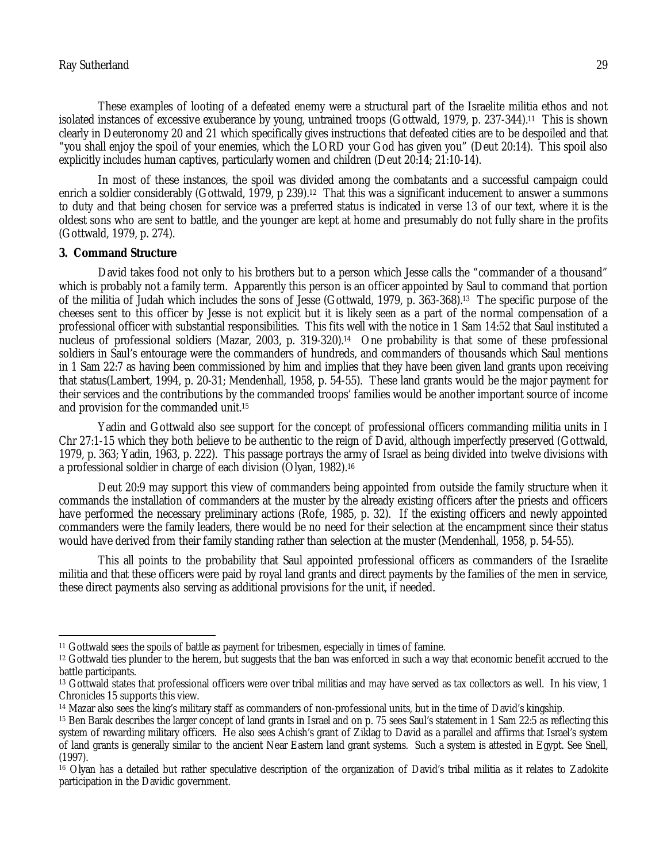These examples of looting of a defeated enemy were a structural part of the Israelite militia ethos and not isolated instances of excessive exuberance by young, untrained troops (Gottwald, 1979, p. 237-344).11 This is shown clearly in Deuteronomy 20 and 21 which specifically gives instructions that defeated cities are to be despoiled and that "you shall enjoy the spoil of your enemies, which the LORD your God has given you" (Deut 20:14). This spoil also explicitly includes human captives, particularly women and children (Deut 20:14; 21:10-14).

In most of these instances, the spoil was divided among the combatants and a successful campaign could enrich a soldier considerably (Gottwald, 1979, p 239).<sup>12</sup> That this was a significant inducement to answer a summons to duty and that being chosen for service was a preferred status is indicated in verse 13 of our text, where it is the oldest sons who are sent to battle, and the younger are kept at home and presumably do not fully share in the profits (Gottwald, 1979, p. 274).

#### **3. Command Structure**

 $\overline{a}$ 

David takes food not only to his brothers but to a person which Jesse calls the "commander of a thousand" which is probably not a family term. Apparently this person is an officer appointed by Saul to command that portion of the militia of Judah which includes the sons of Jesse (Gottwald, 1979, p. 363-368).13 The specific purpose of the cheeses sent to this officer by Jesse is not explicit but it is likely seen as a part of the normal compensation of a professional officer with substantial responsibilities. This fits well with the notice in 1 Sam 14:52 that Saul instituted a nucleus of professional soldiers (Mazar, 2003, p. 319-320).14 One probability is that some of these professional soldiers in Saul's entourage were the commanders of hundreds, and commanders of thousands which Saul mentions in 1 Sam 22:7 as having been commissioned by him and implies that they have been given land grants upon receiving that status(Lambert, 1994, p. 20-31; Mendenhall, 1958, p. 54-55). These land grants would be the major payment for their services and the contributions by the commanded troops' families would be another important source of income and provision for the commanded unit.<sup>15</sup>

Yadin and Gottwald also see support for the concept of professional officers commanding militia units in I Chr 27:1-15 which they both believe to be authentic to the reign of David, although imperfectly preserved (Gottwald, 1979, p. 363; Yadin, 1963, p. 222). This passage portrays the army of Israel as being divided into twelve divisions with a professional soldier in charge of each division (Olyan, 1982).<sup>16</sup>

Deut 20:9 may support this view of commanders being appointed from outside the family structure when it commands the installation of commanders at the muster by the already existing officers after the priests and officers have performed the necessary preliminary actions (Rofe, 1985, p. 32). If the existing officers and newly appointed commanders were the family leaders, there would be no need for their selection at the encampment since their status would have derived from their family standing rather than selection at the muster (Mendenhall, 1958, p. 54-55).

This all points to the probability that Saul appointed professional officers as commanders of the Israelite militia and that these officers were paid by royal land grants and direct payments by the families of the men in service, these direct payments also serving as additional provisions for the unit, if needed.

<sup>11</sup> Gottwald sees the spoils of battle as payment for tribesmen, especially in times of famine.

<sup>12</sup> Gottwald ties plunder to the herem, but suggests that the ban was enforced in such a way that economic benefit accrued to the battle participants.

<sup>13</sup> Gottwald states that professional officers were over tribal militias and may have served as tax collectors as well. In his view, 1 Chronicles 15 supports this view.

<sup>14</sup> Mazar also sees the king's military staff as commanders of non-professional units, but in the time of David's kingship.

<sup>15</sup> Ben Barak describes the larger concept of land grants in Israel and on p. 75 sees Saul's statement in 1 Sam 22:5 as reflecting this system of rewarding military officers. He also sees Achish's grant of Ziklag to David as a parallel and affirms that Israel's system of land grants is generally similar to the ancient Near Eastern land grant systems. Such a system is attested in Egypt. See Snell, (1997).

<sup>16</sup> Olyan has a detailed but rather speculative description of the organization of David's tribal militia as it relates to Zadokite participation in the Davidic government.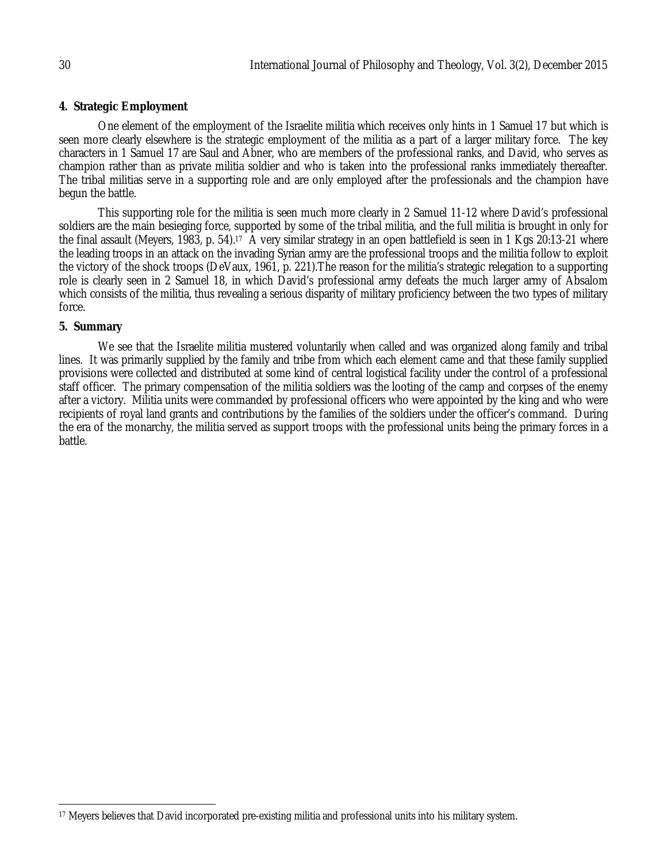# **4. Strategic Employment**

One element of the employment of the Israelite militia which receives only hints in 1 Samuel 17 but which is seen more clearly elsewhere is the strategic employment of the militia as a part of a larger military force. The key characters in 1 Samuel 17 are Saul and Abner, who are members of the professional ranks, and David, who serves as champion rather than as private militia soldier and who is taken into the professional ranks immediately thereafter. The tribal militias serve in a supporting role and are only employed after the professionals and the champion have begun the battle.

This supporting role for the militia is seen much more clearly in 2 Samuel 11-12 where David's professional soldiers are the main besieging force, supported by some of the tribal militia, and the full militia is brought in only for the final assault (Meyers, 1983, p. 54).<sup>17</sup> A very similar strategy in an open battlefield is seen in 1 Kgs 20:13-21 where the leading troops in an attack on the invading Syrian army are the professional troops and the militia follow to exploit the victory of the shock troops (DeVaux, 1961, p. 221).The reason for the militia's strategic relegation to a supporting role is clearly seen in 2 Samuel 18, in which David's professional army defeats the much larger army of Absalom which consists of the militia, thus revealing a serious disparity of military proficiency between the two types of military force.

# **5. Summary**

We see that the Israelite militia mustered voluntarily when called and was organized along family and tribal lines. It was primarily supplied by the family and tribe from which each element came and that these family supplied provisions were collected and distributed at some kind of central logistical facility under the control of a professional staff officer. The primary compensation of the militia soldiers was the looting of the camp and corpses of the enemy after a victory. Militia units were commanded by professional officers who were appointed by the king and who were recipients of royal land grants and contributions by the families of the soldiers under the officer's command. During the era of the monarchy, the militia served as support troops with the professional units being the primary forces in a battle.

 $\overline{\phantom{a}}$ <sup>17</sup> Meyers believes that David incorporated pre-existing militia and professional units into his military system.